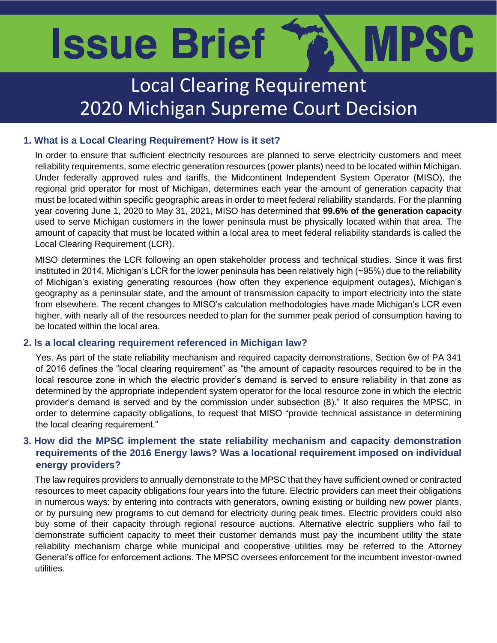# MPSC **Issue Brief**

# Local Clearing Requirement 2020 Michigan Supreme Court Decision

## **1. What is a Local Clearing Requirement? How is it set?**

In order to ensure that sufficient electricity resources are planned to serve electricity customers and meet reliability requirements, some electric generation resources (power plants) need to be located within Michigan. Under federally approved rules and tariffs, the Midcontinent Independent System Operator (MISO), the regional grid operator for most of Michigan, determines each year the amount of generation capacity that must be located within specific geographic areas in order to meet federal reliability standards. For the planning year covering June 1, 2020 to May 31, 2021, MISO has determined that **99.6% of the generation capacity** used to serve Michigan customers in the lower peninsula must be physically located within that area. The amount of capacity that must be located within a local area to meet federal reliability standards is called the Local Clearing Requirement (LCR).

MISO determines the LCR following an open stakeholder process and technical studies. Since it was first instituted in 2014, Michigan's LCR for the lower peninsula has been relatively high (~95%) due to the reliability of Michigan's existing generating resources (how often they experience equipment outages), Michigan's geography as a peninsular state, and the amount of transmission capacity to import electricity into the state from elsewhere. The recent changes to MISO's calculation methodologies have made Michigan's LCR even higher, with nearly all of the resources needed to plan for the summer peak period of consumption having to be located within the local area.

### **2. Is a local clearing requirement referenced in Michigan law?**

Yes. As part of the state reliability mechanism and required capacity demonstrations, Section 6w of PA 341 of 2016 defines the "local clearing requirement" as "the amount of capacity resources required to be in the local resource zone in which the electric provider's demand is served to ensure reliability in that zone as determined by the appropriate independent system operator for the local resource zone in which the electric provider's demand is served and by the commission under subsection (8)." It also requires the MPSC, in order to determine capacity obligations, to request that MISO "provide technical assistance in determining the local clearing requirement."

### **3. How did the MPSC implement the state reliability mechanism and capacity demonstration requirements of the 2016 Energy laws? Was a locational requirement imposed on individual energy providers?**

The law requires providers to annually demonstrate to the MPSC that they have sufficient owned or contracted resources to meet capacity obligations four years into the future. Electric providers can meet their obligations in numerous ways: by entering into contracts with generators, owning existing or building new power plants, or by pursuing new programs to cut demand for electricity during peak times. Electric providers could also buy some of their capacity through regional resource auctions. Alternative electric suppliers who fail to demonstrate sufficient capacity to meet their customer demands must pay the incumbent utility the state reliability mechanism charge while municipal and cooperative utilities may be referred to the Attorney General's office for enforcement actions. The MPSC oversees enforcement for the incumbent investor-owned utilities.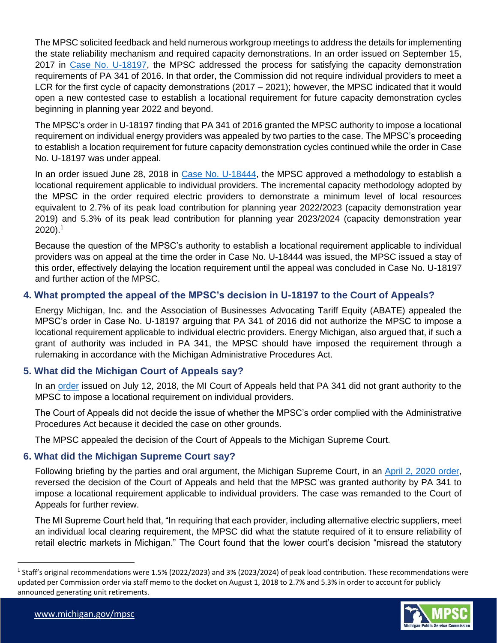LCR for the first cycle of capacity demonstrations (2017 – 2021); however, the MPSC indicated that it would<br>open a new contested case to establish a locational requirement for future capacity demonstration cycles The MPSC solicited feedback and held numerous workgroup meetings to address the details for implementing the state reliability mechanism and required capacity demonstrations. In an order issued on September 15, 2017 in [Case No. U-18197,](https://mi-psc.force.com/s/case/500t0000008eg00AAA/in-the-investigation-on-the-commissions-own-motion-into-electric-supply-reliability-plans-of-michigans-electric-utilities-for-the-years-20172021) the MPSC addressed the process for satisfying the capacity demonstration requirements of PA 341 of 2016. In that order, the Commission did not require individual providers to meet a open a new contested case to establish a locational requirement for future capacity demonstration cycles beginning in planning year 2022 and beyond.

The MPSC's order in U-18197 finding that PA 341 of 2016 granted the MPSC authority to impose a locational requirement on individual energy providers was appealed by two parties to the case. The MPSC's proceeding to establish a location requirement for future capacity demonstration cycles continued while the order in Case No. U-18197 was under appeal.

In an order issued June 28, 2018 in [Case No. U-18444,](https://mi-psc.force.com/s/case/500t0000008eg3zAAA/in-the-matter-on-the-commissions-own-motion-to-open-a-contested-case-proceeding-for-determining-the-process-and-requirements-for-a-forward-locational-requirement-under-mcl-4606w) the MPSC approved a methodology to establish a locational requirement applicable to individual providers. The incremental capacity methodology adopted by the MPSC in the order required electric providers to demonstrate a minimum level of local resources equivalent to 2.7% of its peak load contribution for planning year 2022/2023 (capacity demonstration year 2019) and 5.3% of its peak lead contribution for planning year 2023/2024 (capacity demonstration year  $2020$ ).<sup>1</sup>

Because the question of the MPSC's authority to establish a locational requirement applicable to individual providers was on appeal at the time the order in Case No. U-18444 was issued, the MPSC issued a stay of this order, effectively delaying the location requirement until the appeal was concluded in Case No. U-18197 and further action of the MPSC.

### **4. What prompted the appeal of the MPSC's decision in U-18197 to the Court of Appeals?**

Energy Michigan, Inc. and the Association of Businesses Advocating Tariff Equity (ABATE) appealed the MPSC's order in Case No. U-18197 arguing that PA 341 of 2016 did not authorize the MPSC to impose a locational requirement applicable to individual electric providers. Energy Michigan, also argued that, if such a grant of authority was included in PA 341, the MPSC should have imposed the requirement through a rulemaking in accordance with the Michigan Administrative Procedures Act.

### **5. What did the Michigan Court of Appeals say?**

In an [order](https://mi-psc.force.com/sfc/servlet.shepherd/version/download/068t00000027SGEAA2) issued on July 12, 2018, the MI Court of Appeals held that PA 341 did not grant authority to the MPSC to impose a locational requirement on individual providers.

The Court of Appeals did not decide the issue of whether the MPSC's order complied with the Administrative Procedures Act because it decided the case on other grounds.

The MPSC appealed the decision of the Court of Appeals to the Michigan Supreme Court.

#### **6. What did the Michigan Supreme Court say?**

Following briefing by the parties and oral argument, the Michigan Supreme Court, in an [April 2, 2020 order,](http://publicdocs.courts.mi.gov/OPINIONS/FINAL/SCT/158305_140_01.pdf) reversed the decision of the Court of Appeals and held that the MPSC was granted authority by PA 341 to impose a locational requirement applicable to individual providers. The case was remanded to the Court of Appeals for further review.

The MI Supreme Court held that, "In requiring that each provider, including alternative electric suppliers, meet an individual local clearing requirement, the MPSC did what the statute required of it to ensure reliability of retail electric markets in Michigan." The Court found that the lower court's decision "misread the statutory

<sup>&</sup>lt;sup>1</sup> Staff's original recommendations were 1.5% (2022/2023) and 3% (2023/2024) of peak load contribution. These recommendations were updated per Commission order via staff memo to the docket on August 1, 2018 to 2.7% and 5.3% in order to account for publicly announced generating unit retirements.